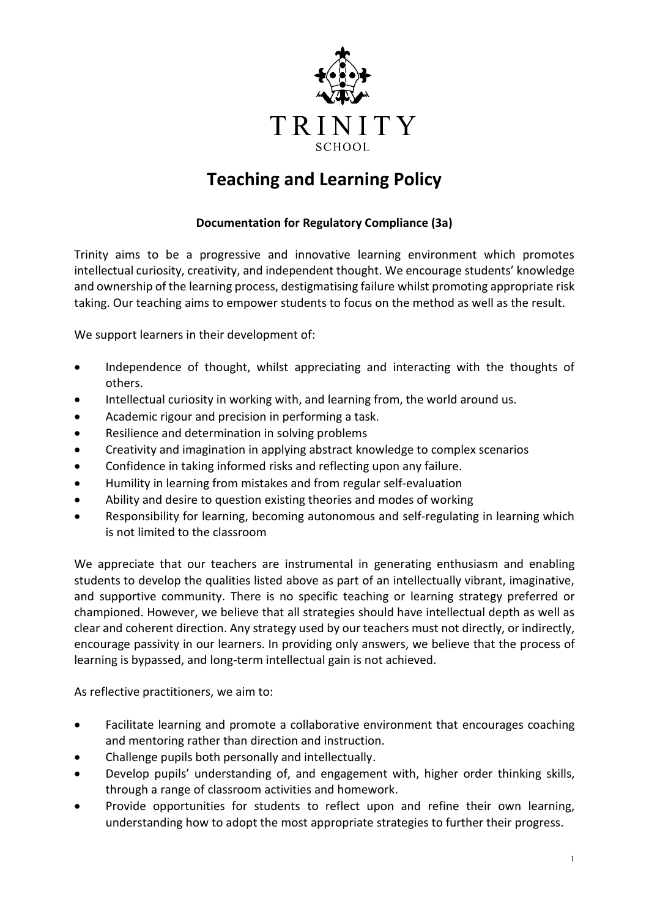

## **Teaching and Learning Policy**

## **Documentation for Regulatory Compliance (3a)**

Trinity aims to be a progressive and innovative learning environment which promotes intellectual curiosity, creativity, and independent thought. We encourage students' knowledge and ownership of the learning process, destigmatising failure whilst promoting appropriate risk taking. Our teaching aims to empower students to focus on the method as well as the result.

We support learners in their development of:

- Independence of thought, whilst appreciating and interacting with the thoughts of others.
- Intellectual curiosity in working with, and learning from, the world around us.
- Academic rigour and precision in performing a task.
- Resilience and determination in solving problems
- Creativity and imagination in applying abstract knowledge to complex scenarios
- Confidence in taking informed risks and reflecting upon any failure.
- Humility in learning from mistakes and from regular self-evaluation
- Ability and desire to question existing theories and modes of working
- Responsibility for learning, becoming autonomous and self-regulating in learning which is not limited to the classroom

We appreciate that our teachers are instrumental in generating enthusiasm and enabling students to develop the qualities listed above as part of an intellectually vibrant, imaginative, and supportive community. There is no specific teaching or learning strategy preferred or championed. However, we believe that all strategies should have intellectual depth as well as clear and coherent direction. Any strategy used by our teachers must not directly, or indirectly, encourage passivity in our learners. In providing only answers, we believe that the process of learning is bypassed, and long-term intellectual gain is not achieved.

As reflective practitioners, we aim to:

- Facilitate learning and promote a collaborative environment that encourages coaching and mentoring rather than direction and instruction.
- Challenge pupils both personally and intellectually.
- Develop pupils' understanding of, and engagement with, higher order thinking skills, through a range of classroom activities and homework.
- Provide opportunities for students to reflect upon and refine their own learning, understanding how to adopt the most appropriate strategies to further their progress.